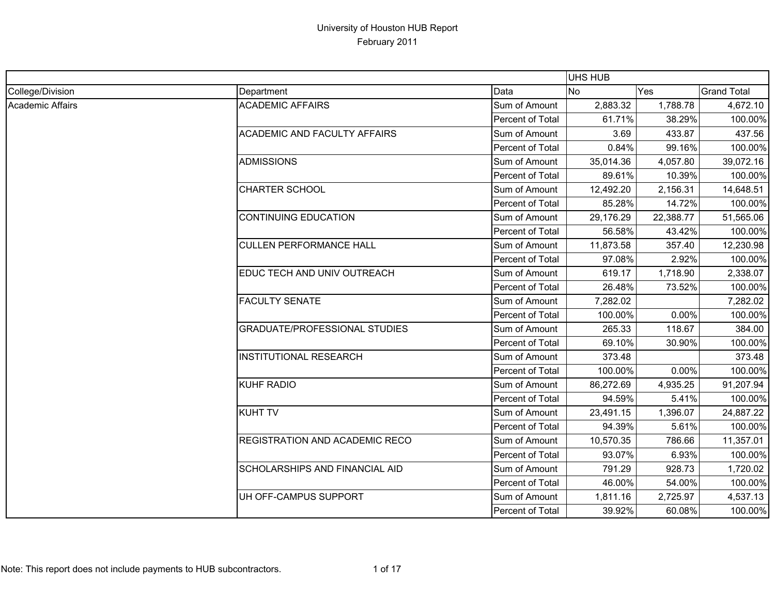|                  |                                       |                  | UHS HUB   |           |                    |
|------------------|---------------------------------------|------------------|-----------|-----------|--------------------|
| College/Division | Department                            | Data             | <b>No</b> | Yes       | <b>Grand Total</b> |
| Academic Affairs | <b>ACADEMIC AFFAIRS</b>               | Sum of Amount    | 2,883.32  | 1,788.78  | 4,672.10           |
|                  |                                       | Percent of Total | 61.71%    | 38.29%    | 100.00%            |
|                  | <b>ACADEMIC AND FACULTY AFFAIRS</b>   | Sum of Amount    | 3.69      | 433.87    | 437.56             |
|                  |                                       | Percent of Total | 0.84%     | 99.16%    | 100.00%            |
|                  | <b>ADMISSIONS</b>                     | Sum of Amount    | 35,014.36 | 4,057.80  | 39,072.16          |
|                  |                                       | Percent of Total | 89.61%    | 10.39%    | 100.00%            |
|                  | <b>CHARTER SCHOOL</b>                 | Sum of Amount    | 12,492.20 | 2,156.31  | 14,648.51          |
|                  |                                       | Percent of Total | 85.28%    | 14.72%    | 100.00%            |
|                  | <b>CONTINUING EDUCATION</b>           | Sum of Amount    | 29,176.29 | 22,388.77 | 51,565.06          |
|                  |                                       | Percent of Total | 56.58%    | 43.42%    | 100.00%            |
|                  | <b>CULLEN PERFORMANCE HALL</b>        | Sum of Amount    | 11,873.58 | 357.40    | 12,230.98          |
|                  |                                       | Percent of Total | 97.08%    | 2.92%     | 100.00%            |
|                  | EDUC TECH AND UNIV OUTREACH           | Sum of Amount    | 619.17    | 1,718.90  | 2,338.07           |
|                  |                                       | Percent of Total | 26.48%    | 73.52%    | 100.00%            |
|                  | <b>FACULTY SENATE</b>                 | Sum of Amount    | 7,282.02  |           | 7,282.02           |
|                  |                                       | Percent of Total | 100.00%   | 0.00%     | 100.00%            |
|                  | <b>GRADUATE/PROFESSIONAL STUDIES</b>  | Sum of Amount    | 265.33    | 118.67    | 384.00             |
|                  |                                       | Percent of Total | 69.10%    | 30.90%    | 100.00%            |
|                  | <b>INSTITUTIONAL RESEARCH</b>         | Sum of Amount    | 373.48    |           | 373.48             |
|                  |                                       | Percent of Total | 100.00%   | 0.00%     | 100.00%            |
|                  | <b>KUHF RADIO</b>                     | Sum of Amount    | 86,272.69 | 4,935.25  | 91,207.94          |
|                  |                                       | Percent of Total | 94.59%    | 5.41%     | 100.00%            |
|                  | <b>KUHT TV</b>                        | Sum of Amount    | 23,491.15 | 1,396.07  | 24,887.22          |
|                  |                                       | Percent of Total | 94.39%    | 5.61%     | 100.00%            |
|                  | <b>REGISTRATION AND ACADEMIC RECO</b> | Sum of Amount    | 10,570.35 | 786.66    | 11,357.01          |
|                  |                                       | Percent of Total | 93.07%    | 6.93%     | 100.00%            |
|                  | SCHOLARSHIPS AND FINANCIAL AID        | Sum of Amount    | 791.29    | 928.73    | 1,720.02           |
|                  |                                       | Percent of Total | 46.00%    | 54.00%    | 100.00%            |
|                  | UH OFF-CAMPUS SUPPORT                 | Sum of Amount    | 1,811.16  | 2,725.97  | 4,537.13           |
|                  |                                       | Percent of Total | 39.92%    | 60.08%    | 100.00%            |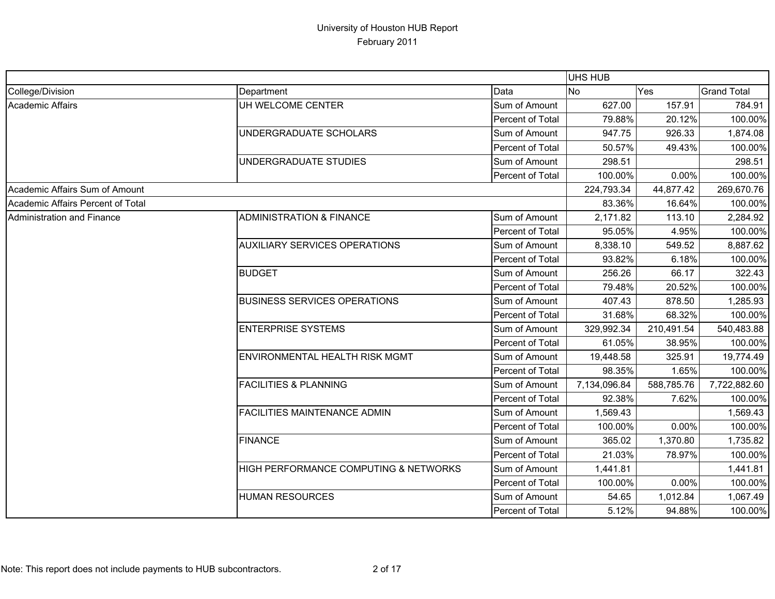|                                   |                                       |                  | UHS HUB      |            |                    |
|-----------------------------------|---------------------------------------|------------------|--------------|------------|--------------------|
| College/Division                  | Department                            | Data             | <b>No</b>    | Yes        | <b>Grand Total</b> |
| <b>Academic Affairs</b>           | UH WELCOME CENTER                     | Sum of Amount    | 627.00       | 157.91     | 784.91             |
|                                   |                                       | Percent of Total | 79.88%       | 20.12%     | 100.00%            |
|                                   | UNDERGRADUATE SCHOLARS                | Sum of Amount    | 947.75       | 926.33     | 1,874.08           |
|                                   |                                       | Percent of Total | 50.57%       | 49.43%     | 100.00%            |
|                                   | UNDERGRADUATE STUDIES                 | Sum of Amount    | 298.51       |            | 298.51             |
|                                   |                                       | Percent of Total | 100.00%      | 0.00%      | 100.00%            |
| Academic Affairs Sum of Amount    |                                       |                  | 224,793.34   | 44,877.42  | 269,670.76         |
| Academic Affairs Percent of Total |                                       |                  | 83.36%       | 16.64%     | 100.00%            |
| Administration and Finance        | <b>ADMINISTRATION &amp; FINANCE</b>   | Sum of Amount    | 2,171.82     | 113.10     | 2,284.92           |
|                                   |                                       | Percent of Total | 95.05%       | 4.95%      | 100.00%            |
|                                   | <b>AUXILIARY SERVICES OPERATIONS</b>  | Sum of Amount    | 8,338.10     | 549.52     | 8,887.62           |
|                                   |                                       | Percent of Total | 93.82%       | 6.18%      | 100.00%            |
|                                   | <b>BUDGET</b>                         | Sum of Amount    | 256.26       | 66.17      | 322.43             |
|                                   |                                       | Percent of Total | 79.48%       | 20.52%     | 100.00%            |
|                                   | <b>BUSINESS SERVICES OPERATIONS</b>   | Sum of Amount    | 407.43       | 878.50     | 1,285.93           |
|                                   |                                       | Percent of Total | 31.68%       | 68.32%     | 100.00%            |
|                                   | <b>ENTERPRISE SYSTEMS</b>             | Sum of Amount    | 329,992.34   | 210,491.54 | 540,483.88         |
|                                   |                                       | Percent of Total | 61.05%       | 38.95%     | 100.00%            |
|                                   | <b>ENVIRONMENTAL HEALTH RISK MGMT</b> | Sum of Amount    | 19,448.58    | 325.91     | 19,774.49          |
|                                   |                                       | Percent of Total | 98.35%       | 1.65%      | 100.00%            |
|                                   | <b>FACILITIES &amp; PLANNING</b>      | Sum of Amount    | 7,134,096.84 | 588,785.76 | 7,722,882.60       |
|                                   |                                       | Percent of Total | 92.38%       | 7.62%      | 100.00%            |
|                                   | <b>FACILITIES MAINTENANCE ADMIN</b>   | Sum of Amount    | 1,569.43     |            | 1,569.43           |
|                                   |                                       | Percent of Total | 100.00%      | 0.00%      | 100.00%            |
|                                   | <b>FINANCE</b>                        | Sum of Amount    | 365.02       | 1,370.80   | 1,735.82           |
|                                   |                                       | Percent of Total | 21.03%       | 78.97%     | 100.00%            |
|                                   | HIGH PERFORMANCE COMPUTING & NETWORKS | Sum of Amount    | 1,441.81     |            | 1,441.81           |
|                                   |                                       | Percent of Total | 100.00%      | 0.00%      | 100.00%            |
|                                   | <b>HUMAN RESOURCES</b>                | Sum of Amount    | 54.65        | 1,012.84   | 1,067.49           |
|                                   |                                       | Percent of Total | 5.12%        | 94.88%     | 100.00%            |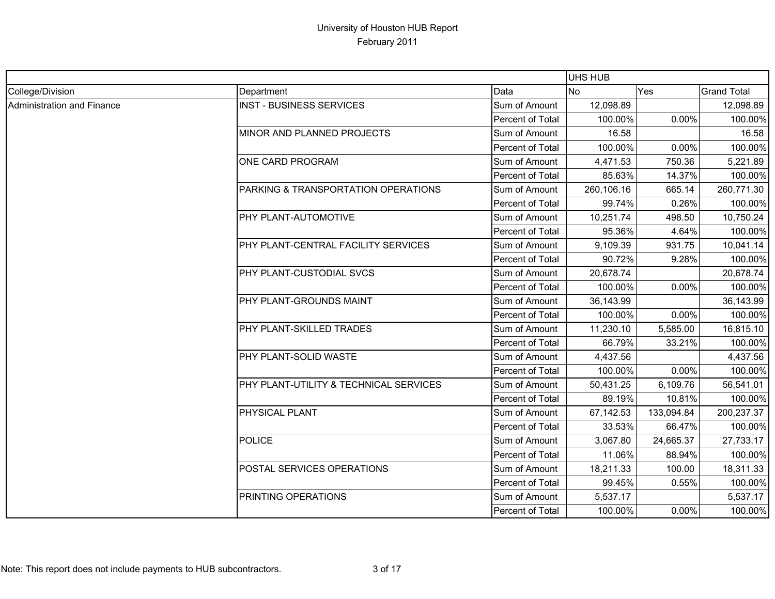|                            |                                        |                  | UHS HUB    |            |                    |
|----------------------------|----------------------------------------|------------------|------------|------------|--------------------|
| College/Division           | Department                             | Data             | <b>No</b>  | Yes        | <b>Grand Total</b> |
| Administration and Finance | <b>INST - BUSINESS SERVICES</b>        | Sum of Amount    | 12,098.89  |            | 12,098.89          |
|                            |                                        | Percent of Total | 100.00%    | 0.00%      | 100.00%            |
|                            | MINOR AND PLANNED PROJECTS             | Sum of Amount    | 16.58      |            | 16.58              |
|                            |                                        | Percent of Total | 100.00%    | $0.00\%$   | 100.00%            |
|                            | ONE CARD PROGRAM                       | Sum of Amount    | 4,471.53   | 750.36     | 5,221.89           |
|                            |                                        | Percent of Total | 85.63%     | 14.37%     | 100.00%            |
|                            | PARKING & TRANSPORTATION OPERATIONS    | Sum of Amount    | 260,106.16 | 665.14     | 260,771.30         |
|                            |                                        | Percent of Total | 99.74%     | 0.26%      | 100.00%            |
|                            | PHY PLANT-AUTOMOTIVE                   | Sum of Amount    | 10,251.74  | 498.50     | 10,750.24          |
|                            |                                        | Percent of Total | 95.36%     | 4.64%      | 100.00%            |
|                            | PHY PLANT-CENTRAL FACILITY SERVICES    | Sum of Amount    | 9,109.39   | 931.75     | 10,041.14          |
|                            |                                        | Percent of Total | 90.72%     | 9.28%      | 100.00%            |
|                            | PHY PLANT-CUSTODIAL SVCS               | Sum of Amount    | 20,678.74  |            | 20,678.74          |
|                            |                                        | Percent of Total | 100.00%    | 0.00%      | 100.00%            |
|                            | <b>PHY PLANT-GROUNDS MAINT</b>         | Sum of Amount    | 36,143.99  |            | 36,143.99          |
|                            |                                        | Percent of Total | 100.00%    | 0.00%      | 100.00%            |
|                            | PHY PLANT-SKILLED TRADES               | Sum of Amount    | 11,230.10  | 5,585.00   | 16,815.10          |
|                            |                                        | Percent of Total | 66.79%     | 33.21%     | 100.00%            |
|                            | PHY PLANT-SOLID WASTE                  | Sum of Amount    | 4,437.56   |            | 4,437.56           |
|                            |                                        | Percent of Total | 100.00%    | 0.00%      | 100.00%            |
|                            | PHY PLANT-UTILITY & TECHNICAL SERVICES | Sum of Amount    | 50,431.25  | 6,109.76   | 56,541.01          |
|                            |                                        | Percent of Total | 89.19%     | 10.81%     | 100.00%            |
|                            | PHYSICAL PLANT                         | Sum of Amount    | 67,142.53  | 133,094.84 | 200,237.37         |
|                            |                                        | Percent of Total | 33.53%     | 66.47%     | 100.00%            |
|                            | POLICE                                 | Sum of Amount    | 3,067.80   | 24,665.37  | 27,733.17          |
|                            |                                        | Percent of Total | 11.06%     | 88.94%     | 100.00%            |
|                            | POSTAL SERVICES OPERATIONS             | Sum of Amount    | 18,211.33  | 100.00     | 18,311.33          |
|                            |                                        | Percent of Total | 99.45%     | 0.55%      | 100.00%            |
|                            | PRINTING OPERATIONS                    | Sum of Amount    | 5,537.17   |            | 5,537.17           |
|                            |                                        | Percent of Total | 100.00%    | 0.00%      | 100.00%            |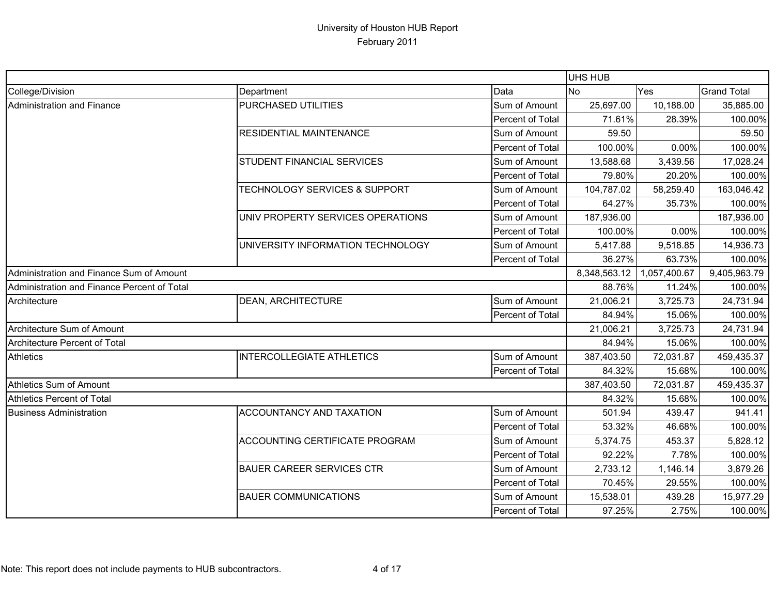|                                             |                                          |                         | <b>UHS HUB</b> |              |                    |
|---------------------------------------------|------------------------------------------|-------------------------|----------------|--------------|--------------------|
| College/Division                            | Department                               | Data                    | <b>No</b>      | Yes          | <b>Grand Total</b> |
| Administration and Finance                  | PURCHASED UTILITIES                      | Sum of Amount           | 25,697.00      | 10,188.00    | 35,885.00          |
|                                             |                                          | Percent of Total        | 71.61%         | 28.39%       | 100.00%            |
|                                             | RESIDENTIAL MAINTENANCE                  | Sum of Amount           | 59.50          |              | 59.50              |
|                                             |                                          | <b>Percent of Total</b> | 100.00%        | 0.00%        | 100.00%            |
|                                             | STUDENT FINANCIAL SERVICES               | Sum of Amount           | 13,588.68      | 3,439.56     | 17,028.24          |
|                                             |                                          | Percent of Total        | 79.80%         | 20.20%       | 100.00%            |
|                                             | <b>TECHNOLOGY SERVICES &amp; SUPPORT</b> | Sum of Amount           | 104,787.02     | 58,259.40    | 163,046.42         |
|                                             |                                          | Percent of Total        | 64.27%         | 35.73%       | 100.00%            |
|                                             | UNIV PROPERTY SERVICES OPERATIONS        | Sum of Amount           | 187,936.00     |              | 187,936.00         |
|                                             |                                          | <b>Percent of Total</b> | 100.00%        | 0.00%        | 100.00%            |
|                                             | UNIVERSITY INFORMATION TECHNOLOGY        | Sum of Amount           | 5,417.88       | 9,518.85     | 14,936.73          |
|                                             |                                          | Percent of Total        | 36.27%         | 63.73%       | 100.00%            |
| Administration and Finance Sum of Amount    |                                          |                         | 8,348,563.12   | 1,057,400.67 | 9,405,963.79       |
| Administration and Finance Percent of Total |                                          |                         | 88.76%         | 11.24%       | 100.00%            |
| Architecture                                | <b>DEAN, ARCHITECTURE</b>                | Sum of Amount           | 21,006.21      | 3,725.73     | 24,731.94          |
|                                             |                                          | <b>Percent of Total</b> | 84.94%         | 15.06%       | 100.00%            |
| Architecture Sum of Amount                  |                                          |                         | 21,006.21      | 3,725.73     | 24,731.94          |
| Architecture Percent of Total               |                                          |                         | 84.94%         | 15.06%       | 100.00%            |
| <b>Athletics</b>                            | <b>INTERCOLLEGIATE ATHLETICS</b>         | Sum of Amount           | 387,403.50     | 72,031.87    | 459,435.37         |
|                                             |                                          | Percent of Total        | 84.32%         | 15.68%       | 100.00%            |
| <b>Athletics Sum of Amount</b>              |                                          |                         | 387,403.50     | 72,031.87    | 459,435.37         |
| <b>Athletics Percent of Total</b>           |                                          |                         | 84.32%         | 15.68%       | 100.00%            |
| <b>Business Administration</b>              | ACCOUNTANCY AND TAXATION                 | Sum of Amount           | 501.94         | 439.47       | 941.41             |
|                                             |                                          | Percent of Total        | 53.32%         | 46.68%       | 100.00%            |
|                                             | <b>ACCOUNTING CERTIFICATE PROGRAM</b>    | Sum of Amount           | 5,374.75       | 453.37       | 5,828.12           |
|                                             |                                          | Percent of Total        | 92.22%         | 7.78%        | 100.00%            |
|                                             | <b>BAUER CAREER SERVICES CTR</b>         | Sum of Amount           | 2,733.12       | 1,146.14     | 3,879.26           |
|                                             |                                          | Percent of Total        | 70.45%         | 29.55%       | 100.00%            |
|                                             | <b>BAUER COMMUNICATIONS</b>              | Sum of Amount           | 15,538.01      | 439.28       | 15,977.29          |
|                                             |                                          | Percent of Total        | 97.25%         | 2.75%        | 100.00%            |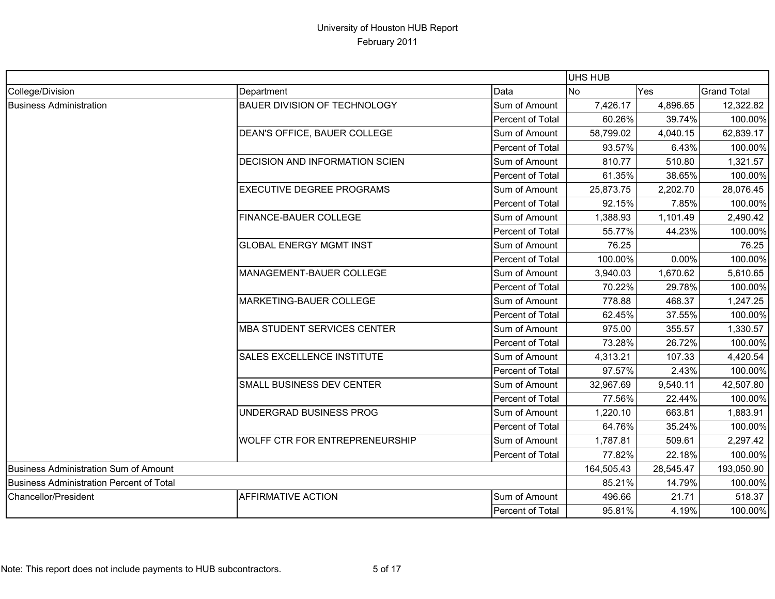|                                          |                                       |                         | UHS HUB        |           |                    |
|------------------------------------------|---------------------------------------|-------------------------|----------------|-----------|--------------------|
| College/Division                         | Department                            | Data                    | N <sub>o</sub> | Yes       | <b>Grand Total</b> |
| <b>Business Administration</b>           | <b>BAUER DIVISION OF TECHNOLOGY</b>   | Sum of Amount           | 7,426.17       | 4,896.65  | 12,322.82          |
|                                          |                                       | Percent of Total        | 60.26%         | 39.74%    | 100.00%            |
|                                          | DEAN'S OFFICE, BAUER COLLEGE          | Sum of Amount           | 58,799.02      | 4,040.15  | 62,839.17          |
|                                          |                                       | <b>Percent of Total</b> | 93.57%         | 6.43%     | 100.00%            |
|                                          | DECISION AND INFORMATION SCIEN        | Sum of Amount           | 810.77         | 510.80    | 1,321.57           |
|                                          |                                       | Percent of Total        | 61.35%         | 38.65%    | 100.00%            |
|                                          | <b>EXECUTIVE DEGREE PROGRAMS</b>      | Sum of Amount           | 25,873.75      | 2,202.70  | 28,076.45          |
|                                          |                                       | Percent of Total        | 92.15%         | 7.85%     | 100.00%            |
|                                          | FINANCE-BAUER COLLEGE                 | Sum of Amount           | 1,388.93       | 1,101.49  | 2,490.42           |
|                                          |                                       | <b>Percent of Total</b> | 55.77%         | 44.23%    | 100.00%            |
|                                          | <b>GLOBAL ENERGY MGMT INST</b>        | Sum of Amount           | 76.25          |           | 76.25              |
|                                          |                                       | Percent of Total        | 100.00%        | 0.00%     | 100.00%            |
|                                          | MANAGEMENT-BAUER COLLEGE              | Sum of Amount           | 3,940.03       | 1,670.62  | 5,610.65           |
|                                          |                                       | Percent of Total        | 70.22%         | 29.78%    | 100.00%            |
|                                          | MARKETING-BAUER COLLEGE               | Sum of Amount           | 778.88         | 468.37    | 1,247.25           |
|                                          |                                       | Percent of Total        | 62.45%         | 37.55%    | 100.00%            |
|                                          | <b>MBA STUDENT SERVICES CENTER</b>    | Sum of Amount           | 975.00         | 355.57    | 1,330.57           |
|                                          |                                       | Percent of Total        | 73.28%         | 26.72%    | 100.00%            |
|                                          | SALES EXCELLENCE INSTITUTE            | Sum of Amount           | 4,313.21       | 107.33    | 4,420.54           |
|                                          |                                       | Percent of Total        | 97.57%         | 2.43%     | 100.00%            |
|                                          | SMALL BUSINESS DEV CENTER             | Sum of Amount           | 32,967.69      | 9,540.11  | 42,507.80          |
|                                          |                                       | Percent of Total        | 77.56%         | 22.44%    | 100.00%            |
|                                          | UNDERGRAD BUSINESS PROG               | Sum of Amount           | 1,220.10       | 663.81    | 1,883.91           |
|                                          |                                       | Percent of Total        | 64.76%         | 35.24%    | 100.00%            |
|                                          | <b>WOLFF CTR FOR ENTREPRENEURSHIP</b> | Sum of Amount           | 1,787.81       | 509.61    | 2,297.42           |
|                                          |                                       | Percent of Total        | 77.82%         | 22.18%    | 100.00%            |
| Business Administration Sum of Amount    |                                       |                         | 164,505.43     | 28,545.47 | 193,050.90         |
| Business Administration Percent of Total |                                       |                         | 85.21%         | 14.79%    | 100.00%            |
| Chancellor/President                     | <b>AFFIRMATIVE ACTION</b>             | Sum of Amount           | 496.66         | 21.71     | 518.37             |
|                                          |                                       | Percent of Total        | 95.81%         | 4.19%     | 100.00%            |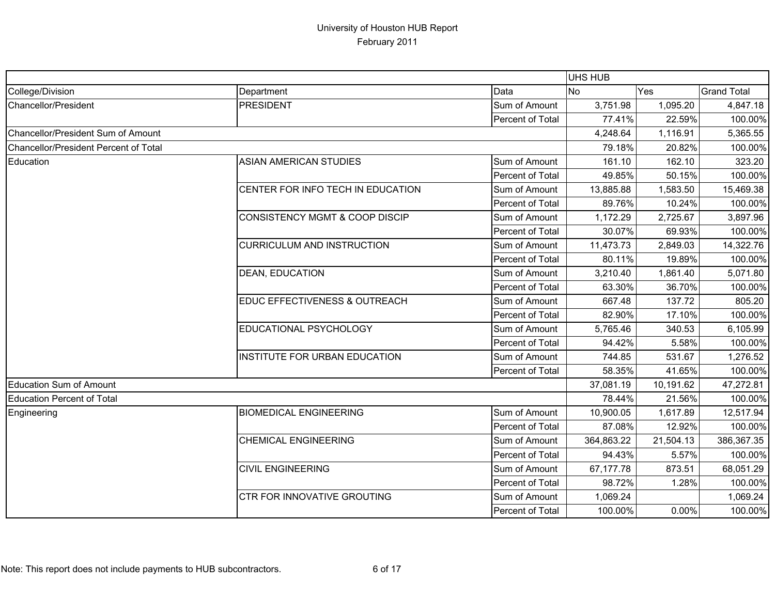|                                       |                                      |                         | <b>UHS HUB</b> |           |                    |
|---------------------------------------|--------------------------------------|-------------------------|----------------|-----------|--------------------|
| College/Division                      | Department                           | Data                    | <b>No</b>      | Yes       | <b>Grand Total</b> |
| Chancellor/President                  | <b>PRESIDENT</b>                     | Sum of Amount           | 3,751.98       | 1,095.20  | 4,847.18           |
|                                       |                                      | Percent of Total        | 77.41%         | 22.59%    | 100.00%            |
| Chancellor/President Sum of Amount    |                                      |                         | 4,248.64       | 1,116.91  | 5,365.55           |
| Chancellor/President Percent of Total |                                      |                         | 79.18%         | 20.82%    | 100.00%            |
| Education                             | <b>ASIAN AMERICAN STUDIES</b>        | Sum of Amount           | 161.10         | 162.10    | 323.20             |
|                                       |                                      | Percent of Total        | 49.85%         | 50.15%    | 100.00%            |
|                                       | CENTER FOR INFO TECH IN EDUCATION    | Sum of Amount           | 13,885.88      | 1,583.50  | 15,469.38          |
|                                       |                                      | <b>Percent of Total</b> | 89.76%         | 10.24%    | 100.00%            |
|                                       | CONSISTENCY MGMT & COOP DISCIP       | Sum of Amount           | 1,172.29       | 2,725.67  | 3,897.96           |
|                                       |                                      | <b>Percent of Total</b> | 30.07%         | 69.93%    | 100.00%            |
|                                       | <b>CURRICULUM AND INSTRUCTION</b>    | Sum of Amount           | 11,473.73      | 2,849.03  | 14,322.76          |
|                                       |                                      | <b>Percent of Total</b> | 80.11%         | 19.89%    | 100.00%            |
|                                       | <b>DEAN, EDUCATION</b>               | Sum of Amount           | 3,210.40       | 1,861.40  | 5,071.80           |
|                                       |                                      | Percent of Total        | 63.30%         | 36.70%    | 100.00%            |
|                                       | EDUC EFFECTIVENESS & OUTREACH        | Sum of Amount           | 667.48         | 137.72    | 805.20             |
|                                       |                                      | Percent of Total        | 82.90%         | 17.10%    | 100.00%            |
|                                       | EDUCATIONAL PSYCHOLOGY               | Sum of Amount           | 5,765.46       | 340.53    | 6,105.99           |
|                                       |                                      | <b>Percent of Total</b> | 94.42%         | 5.58%     | 100.00%            |
|                                       | <b>INSTITUTE FOR URBAN EDUCATION</b> | Sum of Amount           | 744.85         | 531.67    | 1,276.52           |
|                                       |                                      | Percent of Total        | 58.35%         | 41.65%    | 100.00%            |
| Education Sum of Amount               |                                      |                         | 37,081.19      | 10,191.62 | 47,272.81          |
| <b>Education Percent of Total</b>     |                                      |                         | 78.44%         | 21.56%    | 100.00%            |
| Engineering                           | <b>BIOMEDICAL ENGINEERING</b>        | Sum of Amount           | 10,900.05      | 1,617.89  | 12,517.94          |
|                                       |                                      | Percent of Total        | 87.08%         | 12.92%    | 100.00%            |
|                                       | <b>CHEMICAL ENGINEERING</b>          | Sum of Amount           | 364,863.22     | 21,504.13 | 386,367.35         |
|                                       |                                      | Percent of Total        | 94.43%         | 5.57%     | 100.00%            |
|                                       | <b>CIVIL ENGINEERING</b>             | Sum of Amount           | 67,177.78      | 873.51    | 68,051.29          |
|                                       |                                      | Percent of Total        | 98.72%         | 1.28%     | 100.00%            |
|                                       | CTR FOR INNOVATIVE GROUTING          | Sum of Amount           | 1,069.24       |           | 1,069.24           |
|                                       |                                      | Percent of Total        | 100.00%        | $0.00\%$  | 100.00%            |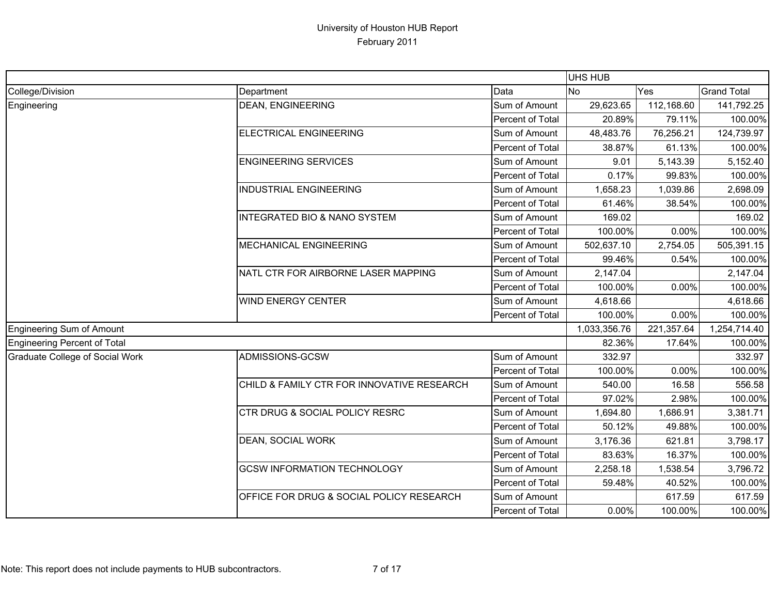|                                  |                                            |                         | <b>UHS HUB</b> |            |                    |
|----------------------------------|--------------------------------------------|-------------------------|----------------|------------|--------------------|
| College/Division                 | Department                                 | Data                    | No             | Yes        | <b>Grand Total</b> |
| Engineering                      | <b>DEAN, ENGINEERING</b>                   | Sum of Amount           | 29,623.65      | 112,168.60 | 141,792.25         |
|                                  |                                            | Percent of Total        | 20.89%         | 79.11%     | 100.00%            |
|                                  | <b>ELECTRICAL ENGINEERING</b>              | Sum of Amount           | 48,483.76      | 76,256.21  | 124,739.97         |
|                                  |                                            | Percent of Total        | 38.87%         | 61.13%     | 100.00%            |
|                                  | <b>ENGINEERING SERVICES</b>                | Sum of Amount           | 9.01           | 5,143.39   | 5,152.40           |
|                                  |                                            | Percent of Total        | 0.17%          | 99.83%     | 100.00%            |
|                                  | <b>INDUSTRIAL ENGINEERING</b>              | Sum of Amount           | 1,658.23       | 1,039.86   | 2,698.09           |
|                                  |                                            | Percent of Total        | 61.46%         | 38.54%     | 100.00%            |
|                                  | <b>INTEGRATED BIO &amp; NANO SYSTEM</b>    | Sum of Amount           | 169.02         |            | 169.02             |
|                                  |                                            | Percent of Total        | 100.00%        | 0.00%      | 100.00%            |
|                                  | MECHANICAL ENGINEERING                     | Sum of Amount           | 502,637.10     | 2,754.05   | 505,391.15         |
|                                  |                                            | Percent of Total        | 99.46%         | 0.54%      | 100.00%            |
|                                  | NATL CTR FOR AIRBORNE LASER MAPPING        | Sum of Amount           | 2,147.04       |            | 2,147.04           |
|                                  |                                            | <b>Percent of Total</b> | 100.00%        | 0.00%      | 100.00%            |
|                                  | <b>WIND ENERGY CENTER</b>                  | Sum of Amount           | 4,618.66       |            | 4,618.66           |
|                                  |                                            | Percent of Total        | 100.00%        | 0.00%      | 100.00%            |
| <b>Engineering Sum of Amount</b> |                                            |                         | 1,033,356.76   | 221,357.64 | 1,254,714.40       |
| Engineering Percent of Total     |                                            |                         | 82.36%         | 17.64%     | 100.00%            |
| Graduate College of Social Work  | ADMISSIONS-GCSW                            | Sum of Amount           | 332.97         |            | 332.97             |
|                                  |                                            | Percent of Total        | 100.00%        | 0.00%      | 100.00%            |
|                                  | CHILD & FAMILY CTR FOR INNOVATIVE RESEARCH | Sum of Amount           | 540.00         | 16.58      | 556.58             |
|                                  |                                            | Percent of Total        | 97.02%         | 2.98%      | 100.00%            |
|                                  | CTR DRUG & SOCIAL POLICY RESRC             | Sum of Amount           | 1,694.80       | 1,686.91   | 3,381.71           |
|                                  |                                            | Percent of Total        | 50.12%         | 49.88%     | 100.00%            |
|                                  | <b>DEAN, SOCIAL WORK</b>                   | Sum of Amount           | 3,176.36       | 621.81     | 3,798.17           |
|                                  |                                            | Percent of Total        | 83.63%         | 16.37%     | 100.00%            |
|                                  | <b>GCSW INFORMATION TECHNOLOGY</b>         | Sum of Amount           | 2,258.18       | 1,538.54   | 3,796.72           |
|                                  |                                            | Percent of Total        | 59.48%         | 40.52%     | 100.00%            |
|                                  | OFFICE FOR DRUG & SOCIAL POLICY RESEARCH   | Sum of Amount           |                | 617.59     | 617.59             |
|                                  |                                            | Percent of Total        | 0.00%          | 100.00%    | 100.00%            |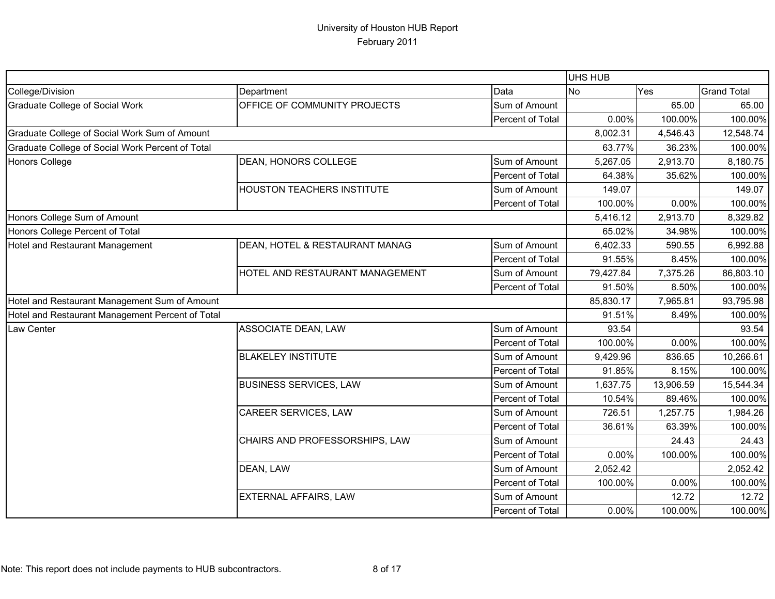|                                                  |                                   |                  | UHS HUB   |           |                    |
|--------------------------------------------------|-----------------------------------|------------------|-----------|-----------|--------------------|
| College/Division                                 | Department                        | Data             | <b>No</b> | Yes       | <b>Grand Total</b> |
| <b>Graduate College of Social Work</b>           | OFFICE OF COMMUNITY PROJECTS      | Sum of Amount    |           | 65.00     | 65.00              |
|                                                  |                                   | Percent of Total | 0.00%     | 100.00%   | 100.00%            |
| Graduate College of Social Work Sum of Amount    |                                   |                  | 8,002.31  | 4,546.43  | 12,548.74          |
| Graduate College of Social Work Percent of Total |                                   |                  | 63.77%    | 36.23%    | 100.00%            |
| Honors College                                   | DEAN, HONORS COLLEGE              | Sum of Amount    | 5,267.05  | 2,913.70  | 8,180.75           |
|                                                  |                                   | Percent of Total | 64.38%    | 35.62%    | 100.00%            |
|                                                  | <b>HOUSTON TEACHERS INSTITUTE</b> | Sum of Amount    | 149.07    |           | 149.07             |
|                                                  |                                   | Percent of Total | 100.00%   | 0.00%     | 100.00%            |
| Honors College Sum of Amount                     |                                   |                  | 5,416.12  | 2,913.70  | 8,329.82           |
| Honors College Percent of Total                  |                                   |                  | 65.02%    | 34.98%    | 100.00%            |
| Hotel and Restaurant Management                  | DEAN, HOTEL & RESTAURANT MANAG    | Sum of Amount    | 6,402.33  | 590.55    | 6,992.88           |
|                                                  |                                   | Percent of Total | 91.55%    | 8.45%     | 100.00%            |
|                                                  | HOTEL AND RESTAURANT MANAGEMENT   | Sum of Amount    | 79,427.84 | 7,375.26  | 86,803.10          |
|                                                  |                                   | Percent of Total | 91.50%    | 8.50%     | 100.00%            |
| Hotel and Restaurant Management Sum of Amount    |                                   |                  | 85,830.17 | 7,965.81  | 93,795.98          |
| Hotel and Restaurant Management Percent of Total |                                   |                  | 91.51%    | 8.49%     | 100.00%            |
| Law Center                                       | ASSOCIATE DEAN, LAW               | Sum of Amount    | 93.54     |           | 93.54              |
|                                                  |                                   | Percent of Total | 100.00%   | 0.00%     | 100.00%            |
|                                                  | <b>BLAKELEY INSTITUTE</b>         | Sum of Amount    | 9,429.96  | 836.65    | 10,266.61          |
|                                                  |                                   | Percent of Total | 91.85%    | 8.15%     | 100.00%            |
|                                                  | <b>BUSINESS SERVICES, LAW</b>     | Sum of Amount    | 1,637.75  | 13,906.59 | 15,544.34          |
|                                                  |                                   | Percent of Total | 10.54%    | 89.46%    | 100.00%            |
|                                                  | CAREER SERVICES, LAW              | Sum of Amount    | 726.51    | 1,257.75  | 1,984.26           |
|                                                  |                                   | Percent of Total | 36.61%    | 63.39%    | 100.00%            |
|                                                  | CHAIRS AND PROFESSORSHIPS, LAW    | Sum of Amount    |           | 24.43     | 24.43              |
|                                                  |                                   | Percent of Total | 0.00%     | 100.00%   | 100.00%            |
|                                                  | DEAN, LAW                         | Sum of Amount    | 2,052.42  |           | 2,052.42           |
|                                                  |                                   | Percent of Total | 100.00%   | 0.00%     | 100.00%            |
|                                                  | <b>EXTERNAL AFFAIRS, LAW</b>      | Sum of Amount    |           | 12.72     | 12.72              |
|                                                  |                                   | Percent of Total | 0.00%     | 100.00%   | 100.00%            |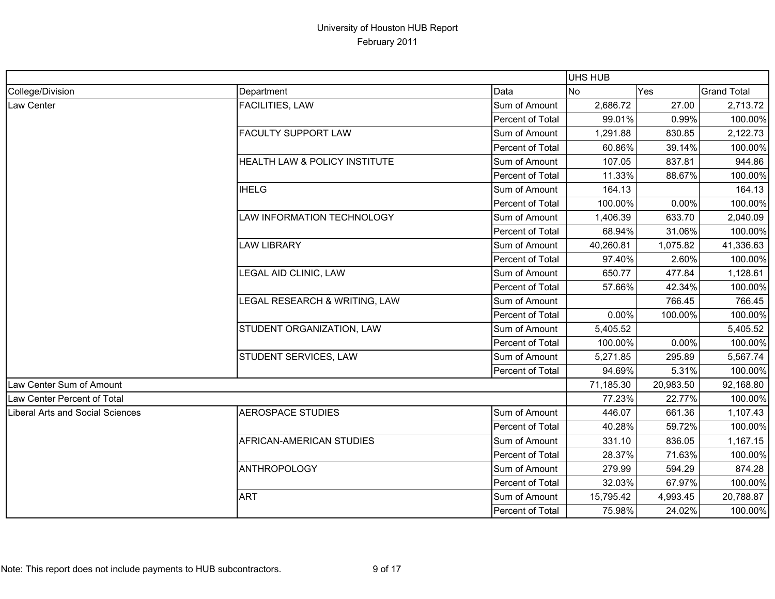|                                  |                               |                  | <b>UHS HUB</b> |           |                    |
|----------------------------------|-------------------------------|------------------|----------------|-----------|--------------------|
| College/Division                 | Department                    | Data             | <b>No</b>      | Yes       | <b>Grand Total</b> |
| Law Center                       | FACILITIES, LAW               | Sum of Amount    | 2,686.72       | 27.00     | 2,713.72           |
|                                  |                               | Percent of Total | 99.01%         | 0.99%     | 100.00%            |
|                                  | <b>FACULTY SUPPORT LAW</b>    | Sum of Amount    | 1,291.88       | 830.85    | 2,122.73           |
|                                  |                               | Percent of Total | 60.86%         | 39.14%    | 100.00%            |
|                                  | HEALTH LAW & POLICY INSTITUTE | Sum of Amount    | 107.05         | 837.81    | 944.86             |
|                                  |                               | Percent of Total | 11.33%         | 88.67%    | 100.00%            |
|                                  | <b>IHELG</b>                  | Sum of Amount    | 164.13         |           | 164.13             |
|                                  |                               | Percent of Total | 100.00%        | 0.00%     | 100.00%            |
|                                  | LAW INFORMATION TECHNOLOGY    | Sum of Amount    | 1,406.39       | 633.70    | 2,040.09           |
|                                  |                               | Percent of Total | 68.94%         | 31.06%    | 100.00%            |
|                                  | <b>LAW LIBRARY</b>            | Sum of Amount    | 40,260.81      | 1,075.82  | 41,336.63          |
|                                  |                               | Percent of Total | 97.40%         | 2.60%     | 100.00%            |
|                                  | LEGAL AID CLINIC, LAW         | Sum of Amount    | 650.77         | 477.84    | 1,128.61           |
|                                  |                               | Percent of Total | 57.66%         | 42.34%    | 100.00%            |
|                                  | LEGAL RESEARCH & WRITING, LAW | Sum of Amount    |                | 766.45    | 766.45             |
|                                  |                               | Percent of Total | 0.00%          | 100.00%   | 100.00%            |
|                                  | STUDENT ORGANIZATION, LAW     | Sum of Amount    | 5,405.52       |           | 5,405.52           |
|                                  |                               | Percent of Total | 100.00%        | 0.00%     | 100.00%            |
|                                  | STUDENT SERVICES, LAW         | Sum of Amount    | 5,271.85       | 295.89    | 5,567.74           |
|                                  |                               | Percent of Total | 94.69%         | 5.31%     | 100.00%            |
| Law Center Sum of Amount         |                               |                  | 71,185.30      | 20,983.50 | 92,168.80          |
| Law Center Percent of Total      |                               |                  | 77.23%         | 22.77%    | 100.00%            |
| Liberal Arts and Social Sciences | <b>AEROSPACE STUDIES</b>      | Sum of Amount    | 446.07         | 661.36    | 1,107.43           |
|                                  |                               | Percent of Total | 40.28%         | 59.72%    | 100.00%            |
|                                  | AFRICAN-AMERICAN STUDIES      | Sum of Amount    | 331.10         | 836.05    | 1,167.15           |
|                                  |                               | Percent of Total | 28.37%         | 71.63%    | 100.00%            |
|                                  | <b>ANTHROPOLOGY</b>           | Sum of Amount    | 279.99         | 594.29    | 874.28             |
|                                  |                               | Percent of Total | 32.03%         | 67.97%    | 100.00%            |
|                                  | <b>ART</b>                    | Sum of Amount    | 15,795.42      | 4,993.45  | 20,788.87          |
|                                  |                               | Percent of Total | 75.98%         | 24.02%    | 100.00%            |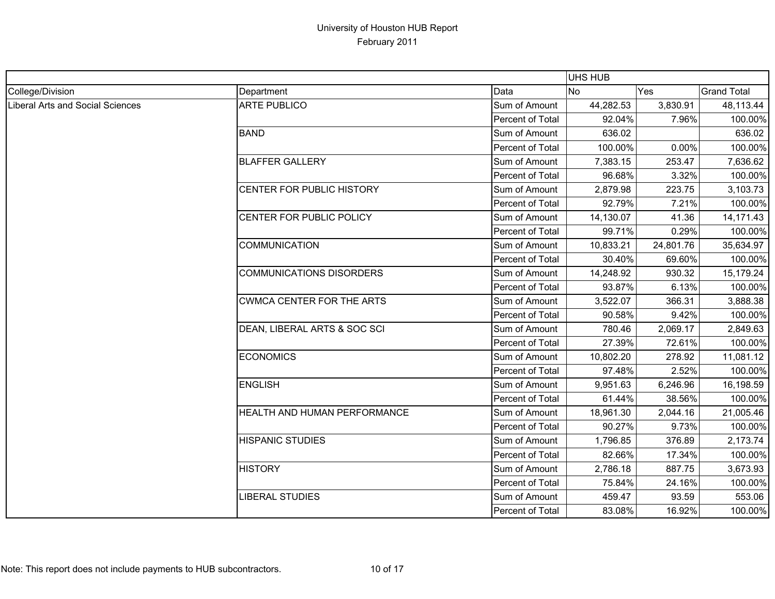|                                         |                                  |                  | <b>UHS HUB</b> |           |                    |
|-----------------------------------------|----------------------------------|------------------|----------------|-----------|--------------------|
| College/Division                        | Department                       | Data             | <b>No</b>      | Yes       | <b>Grand Total</b> |
| <b>Liberal Arts and Social Sciences</b> | <b>ARTE PUBLICO</b>              | Sum of Amount    | 44,282.53      | 3,830.91  | 48,113.44          |
|                                         |                                  | Percent of Total | 92.04%         | 7.96%     | 100.00%            |
|                                         | <b>BAND</b>                      | Sum of Amount    | 636.02         |           | 636.02             |
|                                         |                                  | Percent of Total | 100.00%        | 0.00%     | 100.00%            |
|                                         | <b>BLAFFER GALLERY</b>           | Sum of Amount    | 7,383.15       | 253.47    | 7,636.62           |
|                                         |                                  | Percent of Total | 96.68%         | 3.32%     | 100.00%            |
|                                         | CENTER FOR PUBLIC HISTORY        | Sum of Amount    | 2,879.98       | 223.75    | 3,103.73           |
|                                         |                                  | Percent of Total | 92.79%         | 7.21%     | 100.00%            |
|                                         | CENTER FOR PUBLIC POLICY         | Sum of Amount    | 14,130.07      | 41.36     | 14,171.43          |
|                                         |                                  | Percent of Total | 99.71%         | 0.29%     | 100.00%            |
|                                         | <b>COMMUNICATION</b>             | Sum of Amount    | 10,833.21      | 24,801.76 | 35,634.97          |
|                                         |                                  | Percent of Total | 30.40%         | 69.60%    | 100.00%            |
|                                         | <b>COMMUNICATIONS DISORDERS</b>  | Sum of Amount    | 14,248.92      | 930.32    | 15,179.24          |
|                                         |                                  | Percent of Total | 93.87%         | 6.13%     | 100.00%            |
|                                         | <b>CWMCA CENTER FOR THE ARTS</b> | Sum of Amount    | 3,522.07       | 366.31    | 3,888.38           |
|                                         |                                  | Percent of Total | 90.58%         | 9.42%     | 100.00%            |
|                                         | DEAN, LIBERAL ARTS & SOC SCI     | Sum of Amount    | 780.46         | 2,069.17  | 2,849.63           |
|                                         |                                  | Percent of Total | 27.39%         | 72.61%    | 100.00%            |
|                                         | <b>ECONOMICS</b>                 | Sum of Amount    | 10,802.20      | 278.92    | 11,081.12          |
|                                         |                                  | Percent of Total | 97.48%         | 2.52%     | 100.00%            |
|                                         | <b>ENGLISH</b>                   | Sum of Amount    | 9,951.63       | 6,246.96  | 16,198.59          |
|                                         |                                  | Percent of Total | 61.44%         | 38.56%    | 100.00%            |
|                                         | HEALTH AND HUMAN PERFORMANCE     | Sum of Amount    | 18,961.30      | 2,044.16  | 21,005.46          |
|                                         |                                  | Percent of Total | 90.27%         | 9.73%     | 100.00%            |
|                                         | <b>HISPANIC STUDIES</b>          | Sum of Amount    | 1,796.85       | 376.89    | 2,173.74           |
|                                         |                                  | Percent of Total | 82.66%         | 17.34%    | 100.00%            |
|                                         | <b>HISTORY</b>                   | Sum of Amount    | 2,786.18       | 887.75    | 3,673.93           |
|                                         |                                  | Percent of Total | 75.84%         | 24.16%    | 100.00%            |
|                                         | <b>LIBERAL STUDIES</b>           | Sum of Amount    | 459.47         | 93.59     | 553.06             |
|                                         |                                  | Percent of Total | 83.08%         | 16.92%    | 100.00%            |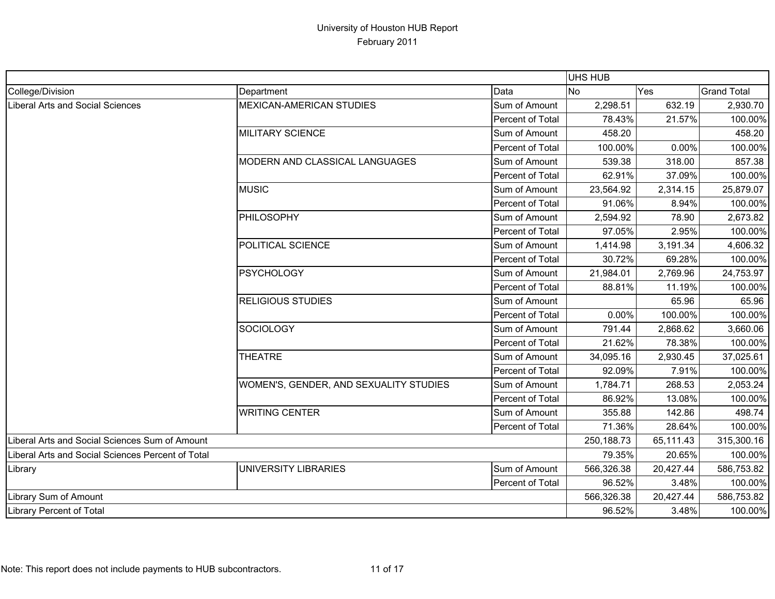|                                                   |                                        |                  | UHS HUB    |           |                    |
|---------------------------------------------------|----------------------------------------|------------------|------------|-----------|--------------------|
| College/Division                                  | Department                             | Data             | <b>No</b>  | Yes       | <b>Grand Total</b> |
| Liberal Arts and Social Sciences                  | <b>MEXICAN-AMERICAN STUDIES</b>        | Sum of Amount    | 2,298.51   | 632.19    | 2,930.70           |
|                                                   |                                        | Percent of Total | 78.43%     | 21.57%    | 100.00%            |
|                                                   | <b>MILITARY SCIENCE</b>                | Sum of Amount    | 458.20     |           | 458.20             |
|                                                   |                                        | Percent of Total | 100.00%    | 0.00%     | 100.00%            |
|                                                   | MODERN AND CLASSICAL LANGUAGES         | Sum of Amount    | 539.38     | 318.00    | 857.38             |
|                                                   |                                        | Percent of Total | 62.91%     | 37.09%    | 100.00%            |
|                                                   | <b>MUSIC</b>                           | Sum of Amount    | 23,564.92  | 2,314.15  | 25,879.07          |
|                                                   |                                        | Percent of Total | 91.06%     | 8.94%     | 100.00%            |
|                                                   | PHILOSOPHY                             | Sum of Amount    | 2,594.92   | 78.90     | 2,673.82           |
|                                                   |                                        | Percent of Total | 97.05%     | 2.95%     | 100.00%            |
|                                                   | POLITICAL SCIENCE                      | Sum of Amount    | 1,414.98   | 3,191.34  | 4,606.32           |
|                                                   |                                        | Percent of Total | 30.72%     | 69.28%    | 100.00%            |
|                                                   | <b>PSYCHOLOGY</b>                      | Sum of Amount    | 21,984.01  | 2,769.96  | 24,753.97          |
|                                                   |                                        | Percent of Total | 88.81%     | 11.19%    | 100.00%            |
|                                                   | <b>RELIGIOUS STUDIES</b>               | Sum of Amount    |            | 65.96     | 65.96              |
|                                                   |                                        | Percent of Total | 0.00%      | 100.00%   | 100.00%            |
|                                                   | <b>SOCIOLOGY</b>                       | Sum of Amount    | 791.44     | 2,868.62  | 3,660.06           |
|                                                   |                                        | Percent of Total | 21.62%     | 78.38%    | 100.00%            |
|                                                   | <b>THEATRE</b>                         | Sum of Amount    | 34,095.16  | 2,930.45  | 37,025.61          |
|                                                   |                                        | Percent of Total | 92.09%     | 7.91%     | 100.00%            |
|                                                   | WOMEN'S, GENDER, AND SEXUALITY STUDIES | Sum of Amount    | 1,784.71   | 268.53    | 2,053.24           |
|                                                   |                                        | Percent of Total | 86.92%     | 13.08%    | 100.00%            |
|                                                   | <b>WRITING CENTER</b>                  | Sum of Amount    | 355.88     | 142.86    | 498.74             |
|                                                   |                                        | Percent of Total | 71.36%     | 28.64%    | 100.00%            |
| Liberal Arts and Social Sciences Sum of Amount    |                                        |                  | 250,188.73 | 65,111.43 | 315,300.16         |
| Liberal Arts and Social Sciences Percent of Total |                                        | 79.35%           | 20.65%     | 100.00%   |                    |
| Library                                           | <b>JNIVERSITY LIBRARIES</b>            | Sum of Amount    | 566,326.38 | 20,427.44 | 586,753.82         |
|                                                   |                                        | Percent of Total | 96.52%     | 3.48%     | 100.00%            |
| Library Sum of Amount                             |                                        |                  | 566,326.38 | 20,427.44 | 586,753.82         |
| Library Percent of Total                          |                                        |                  | 96.52%     | 3.48%     | 100.00%            |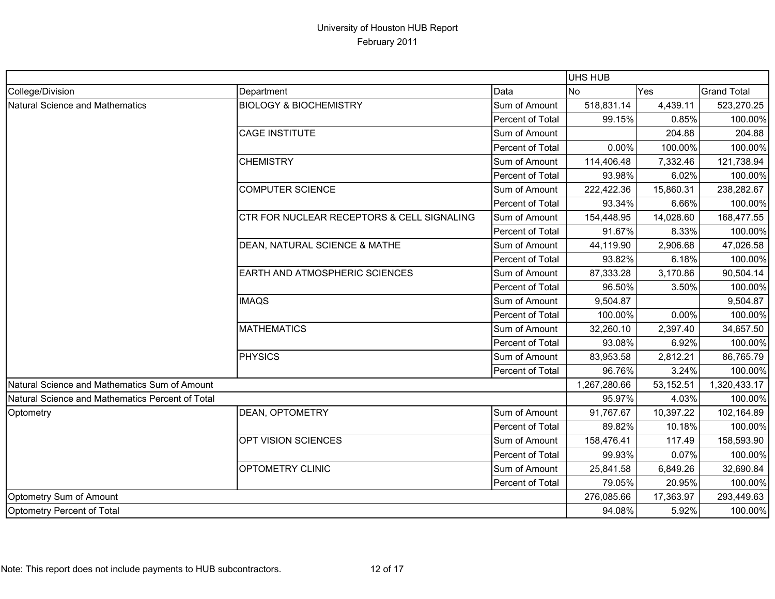|                                                  |                                            |                         | <b>UHS HUB</b> |           |                    |
|--------------------------------------------------|--------------------------------------------|-------------------------|----------------|-----------|--------------------|
| College/Division                                 | Department                                 | Data                    | No             | Yes       | <b>Grand Total</b> |
| Natural Science and Mathematics                  | <b>BIOLOGY &amp; BIOCHEMISTRY</b>          | Sum of Amount           | 518,831.14     | 4,439.11  | 523,270.25         |
|                                                  |                                            | Percent of Total        | 99.15%         | 0.85%     | 100.00%            |
|                                                  | <b>CAGE INSTITUTE</b>                      | Sum of Amount           |                | 204.88    | 204.88             |
|                                                  |                                            | <b>Percent of Total</b> | 0.00%          | 100.00%   | 100.00%            |
|                                                  | <b>CHEMISTRY</b>                           | Sum of Amount           | 114,406.48     | 7,332.46  | 121,738.94         |
|                                                  |                                            | Percent of Total        | 93.98%         | 6.02%     | 100.00%            |
|                                                  | <b>COMPUTER SCIENCE</b>                    | Sum of Amount           | 222,422.36     | 15,860.31 | 238,282.67         |
|                                                  |                                            | Percent of Total        | 93.34%         | 6.66%     | 100.00%            |
|                                                  | CTR FOR NUCLEAR RECEPTORS & CELL SIGNALING | Sum of Amount           | 154,448.95     | 14,028.60 | 168,477.55         |
|                                                  |                                            | Percent of Total        | 91.67%         | 8.33%     | 100.00%            |
|                                                  | DEAN, NATURAL SCIENCE & MATHE              | Sum of Amount           | 44,119.90      | 2,906.68  | 47,026.58          |
|                                                  |                                            | Percent of Total        | 93.82%         | 6.18%     | 100.00%            |
|                                                  | EARTH AND ATMOSPHERIC SCIENCES             | Sum of Amount           | 87,333.28      | 3,170.86  | 90,504.14          |
|                                                  |                                            | Percent of Total        | 96.50%         | 3.50%     | 100.00%            |
|                                                  | <b>IMAQS</b>                               | Sum of Amount           | 9,504.87       |           | 9,504.87           |
|                                                  |                                            | Percent of Total        | 100.00%        | 0.00%     | 100.00%            |
|                                                  | <b>MATHEMATICS</b>                         | Sum of Amount           | 32,260.10      | 2,397.40  | 34,657.50          |
|                                                  |                                            | Percent of Total        | 93.08%         | 6.92%     | 100.00%            |
|                                                  | <b>PHYSICS</b>                             | Sum of Amount           | 83,953.58      | 2,812.21  | 86,765.79          |
|                                                  |                                            | Percent of Total        | 96.76%         | 3.24%     | 100.00%            |
| Natural Science and Mathematics Sum of Amount    |                                            |                         | 1,267,280.66   | 53,152.51 | 1,320,433.17       |
| Natural Science and Mathematics Percent of Total |                                            |                         | 95.97%         | 4.03%     | 100.00%            |
| Optometry                                        | DEAN, OPTOMETRY                            | Sum of Amount           | 91,767.67      | 10,397.22 | 102,164.89         |
|                                                  |                                            | Percent of Total        | 89.82%         | 10.18%    | 100.00%            |
|                                                  | OPT VISION SCIENCES                        | Sum of Amount           | 158,476.41     | 117.49    | 158,593.90         |
|                                                  |                                            | Percent of Total        | 99.93%         | 0.07%     | 100.00%            |
|                                                  | <b>OPTOMETRY CLINIC</b>                    | Sum of Amount           | 25,841.58      | 6,849.26  | 32,690.84          |
|                                                  |                                            | Percent of Total        | 79.05%         | 20.95%    | 100.00%            |
| Optometry Sum of Amount                          |                                            |                         | 276,085.66     | 17,363.97 | 293,449.63         |
| Optometry Percent of Total                       |                                            |                         | 94.08%         | 5.92%     | 100.00%            |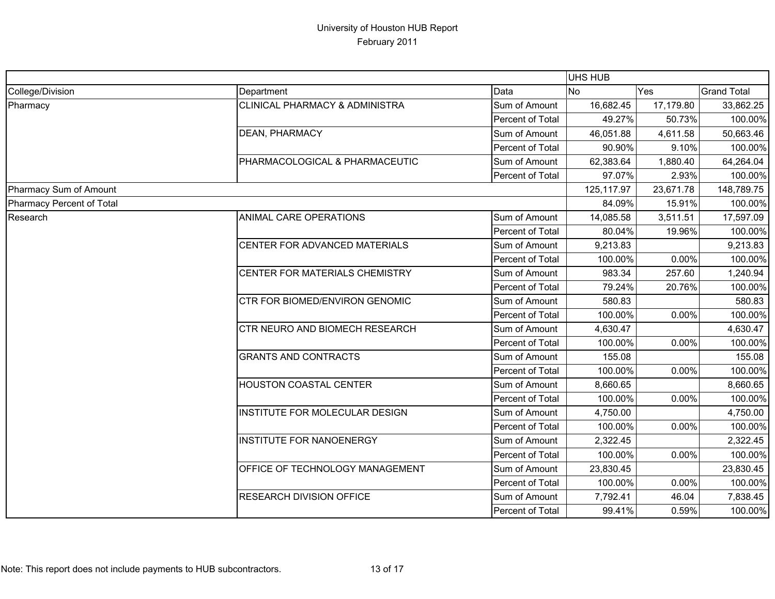|                           |                                 |                  | UHS HUB    |           |                    |
|---------------------------|---------------------------------|------------------|------------|-----------|--------------------|
| College/Division          | Department                      | Data             | <b>No</b>  | Yes       | <b>Grand Total</b> |
| Pharmacy                  | CLINICAL PHARMACY & ADMINISTRA  | Sum of Amount    | 16,682.45  | 17,179.80 | 33,862.25          |
|                           |                                 | Percent of Total | 49.27%     | 50.73%    | 100.00%            |
|                           | <b>DEAN, PHARMACY</b>           | Sum of Amount    | 46,051.88  | 4,611.58  | 50,663.46          |
|                           |                                 | Percent of Total | 90.90%     | 9.10%     | 100.00%            |
|                           | PHARMACOLOGICAL & PHARMACEUTIC  | Sum of Amount    | 62,383.64  | 1,880.40  | 64,264.04          |
|                           |                                 | Percent of Total | 97.07%     | 2.93%     | 100.00%            |
| Pharmacy Sum of Amount    |                                 |                  | 125,117.97 | 23,671.78 | 148,789.75         |
| Pharmacy Percent of Total |                                 |                  | 84.09%     | 15.91%    | 100.00%            |
| Research                  | ANIMAL CARE OPERATIONS          | Sum of Amount    | 14,085.58  | 3,511.51  | 17,597.09          |
|                           |                                 | Percent of Total | 80.04%     | 19.96%    | 100.00%            |
|                           | CENTER FOR ADVANCED MATERIALS   | Sum of Amount    | 9,213.83   |           | 9,213.83           |
|                           |                                 | Percent of Total | 100.00%    | 0.00%     | 100.00%            |
|                           | CENTER FOR MATERIALS CHEMISTRY  | Sum of Amount    | 983.34     | 257.60    | 1,240.94           |
|                           |                                 | Percent of Total | 79.24%     | 20.76%    | 100.00%            |
|                           | CTR FOR BIOMED/ENVIRON GENOMIC  | Sum of Amount    | 580.83     |           | 580.83             |
|                           |                                 | Percent of Total | 100.00%    | 0.00%     | 100.00%            |
|                           | CTR NEURO AND BIOMECH RESEARCH  | Sum of Amount    | 4,630.47   |           | 4,630.47           |
|                           |                                 | Percent of Total | 100.00%    | 0.00%     | 100.00%            |
|                           | <b>GRANTS AND CONTRACTS</b>     | Sum of Amount    | 155.08     |           | 155.08             |
|                           |                                 | Percent of Total | 100.00%    | 0.00%     | 100.00%            |
|                           | HOUSTON COASTAL CENTER          | Sum of Amount    | 8,660.65   |           | 8,660.65           |
|                           |                                 | Percent of Total | 100.00%    | 0.00%     | 100.00%            |
|                           | INSTITUTE FOR MOLECULAR DESIGN  | Sum of Amount    | 4,750.00   |           | 4,750.00           |
|                           |                                 | Percent of Total | 100.00%    | 0.00%     | 100.00%            |
|                           | <b>INSTITUTE FOR NANOENERGY</b> | Sum of Amount    | 2,322.45   |           | 2,322.45           |
|                           |                                 | Percent of Total | 100.00%    | 0.00%     | 100.00%            |
|                           | OFFICE OF TECHNOLOGY MANAGEMENT | Sum of Amount    | 23,830.45  |           | 23,830.45          |
|                           |                                 | Percent of Total | 100.00%    | 0.00%     | 100.00%            |
|                           | <b>RESEARCH DIVISION OFFICE</b> | Sum of Amount    | 7,792.41   | 46.04     | 7,838.45           |
|                           |                                 | Percent of Total | 99.41%     | 0.59%     | 100.00%            |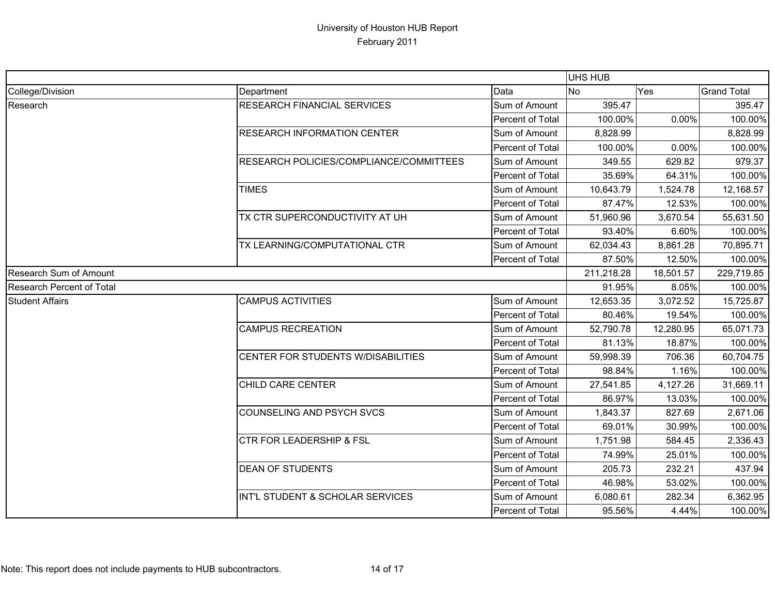|                                  |                                         |                  | UHS HUB   |            |                    |
|----------------------------------|-----------------------------------------|------------------|-----------|------------|--------------------|
| College/Division                 | Department                              | Data             | <b>No</b> | Yes        | <b>Grand Total</b> |
| Research                         | <b>RESEARCH FINANCIAL SERVICES</b>      | Sum of Amount    | 395.47    |            | 395.47             |
|                                  |                                         | Percent of Total | 100.00%   | 0.00%      | 100.00%            |
|                                  | <b>RESEARCH INFORMATION CENTER</b>      | Sum of Amount    | 8,828.99  |            | 8,828.99           |
|                                  |                                         | Percent of Total | 100.00%   | 0.00%      | 100.00%            |
|                                  | RESEARCH POLICIES/COMPLIANCE/COMMITTEES | Sum of Amount    | 349.55    | 629.82     | 979.37             |
|                                  |                                         | Percent of Total | 35.69%    | 64.31%     | 100.00%            |
|                                  | <b>TIMES</b>                            | Sum of Amount    | 10,643.79 | 1,524.78   | 12,168.57          |
|                                  |                                         | Percent of Total | 87.47%    | 12.53%     | 100.00%            |
|                                  | TX CTR SUPERCONDUCTIVITY AT UH          | Sum of Amount    | 51,960.96 | 3,670.54   | 55,631.50          |
|                                  |                                         | Percent of Total | 93.40%    | 6.60%      | 100.00%            |
|                                  | TX LEARNING/COMPUTATIONAL CTR           | Sum of Amount    | 62,034.43 | 8,861.28   | 70,895.71          |
|                                  |                                         | Percent of Total | 87.50%    | 12.50%     | 100.00%            |
| <b>Research Sum of Amount</b>    |                                         | 211,218.28       | 18,501.57 | 229,719.85 |                    |
| <b>Research Percent of Total</b> |                                         |                  | 91.95%    | 8.05%      | 100.00%            |
| <b>Student Affairs</b>           | <b>CAMPUS ACTIVITIES</b>                | Sum of Amount    | 12,653.35 | 3,072.52   | 15,725.87          |
|                                  |                                         | Percent of Total | 80.46%    | 19.54%     | 100.00%            |
|                                  | <b>CAMPUS RECREATION</b>                | Sum of Amount    | 52,790.78 | 12,280.95  | 65,071.73          |
|                                  |                                         | Percent of Total | 81.13%    | 18.87%     | 100.00%            |
|                                  | CENTER FOR STUDENTS W/DISABILITIES      | Sum of Amount    | 59,998.39 | 706.36     | 60,704.75          |
|                                  |                                         | Percent of Total | 98.84%    | 1.16%      | 100.00%            |
|                                  | CHILD CARE CENTER                       | Sum of Amount    | 27,541.85 | 4,127.26   | 31,669.11          |
|                                  |                                         | Percent of Total | 86.97%    | 13.03%     | 100.00%            |
|                                  | COUNSELING AND PSYCH SVCS               | Sum of Amount    | 1,843.37  | 827.69     | 2,671.06           |
|                                  |                                         | Percent of Total | 69.01%    | 30.99%     | 100.00%            |
|                                  | <b>CTR FOR LEADERSHIP &amp; FSL</b>     | Sum of Amount    | 1,751.98  | 584.45     | 2,336.43           |
|                                  |                                         | Percent of Total | 74.99%    | 25.01%     | 100.00%            |
|                                  | <b>DEAN OF STUDENTS</b>                 | Sum of Amount    | 205.73    | 232.21     | 437.94             |
|                                  |                                         | Percent of Total | 46.98%    | 53.02%     | 100.00%            |
|                                  | INT'L STUDENT & SCHOLAR SERVICES        | Sum of Amount    | 6,080.61  | 282.34     | 6,362.95           |
|                                  |                                         | Percent of Total | 95.56%    | 4.44%      | 100.00%            |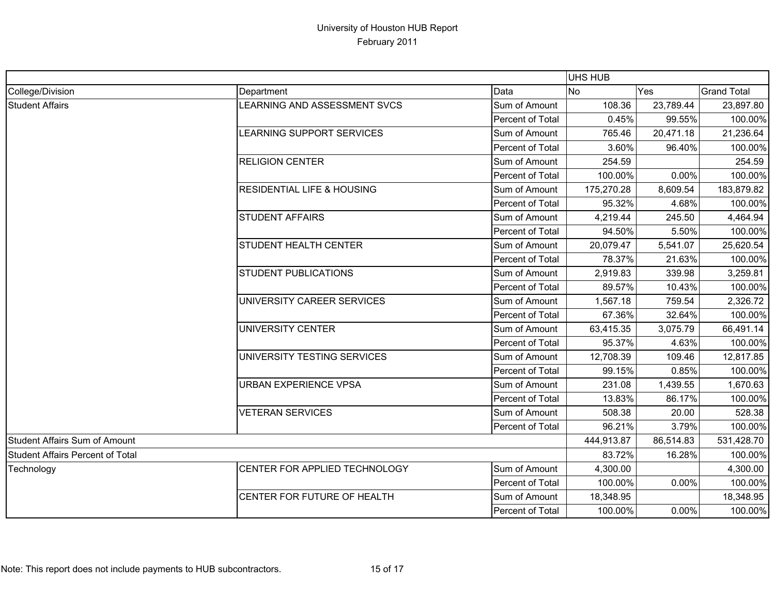|                                  |                                                                                                                                                                 |                         | <b>UHS HUB</b> |                                                       |                    |
|----------------------------------|-----------------------------------------------------------------------------------------------------------------------------------------------------------------|-------------------------|----------------|-------------------------------------------------------|--------------------|
| College/Division                 | Department                                                                                                                                                      | Data                    | No             | Yes                                                   | <b>Grand Total</b> |
| <b>Student Affairs</b>           | <b>LEARNING AND ASSESSMENT SVCS</b>                                                                                                                             | Sum of Amount           | 108.36         | 23,789.44                                             | 23,897.80          |
|                                  |                                                                                                                                                                 | Percent of Total        | 0.45%          | 99.55%                                                | 100.00%            |
|                                  | LEARNING SUPPORT SERVICES                                                                                                                                       | Sum of Amount           | 765.46         | 20,471.18                                             | 21,236.64          |
|                                  |                                                                                                                                                                 | <b>Percent of Total</b> | 3.60%          | 96.40%                                                | 100.00%            |
|                                  | <b>RELIGION CENTER</b>                                                                                                                                          | Sum of Amount           | 254.59         |                                                       | 254.59             |
|                                  |                                                                                                                                                                 | Percent of Total        | 100.00%        | 0.00%                                                 | 100.00%            |
|                                  | <b>RESIDENTIAL LIFE &amp; HOUSING</b>                                                                                                                           | Sum of Amount           | 175,270.28     | 8,609.54                                              | 183,879.82         |
|                                  |                                                                                                                                                                 | Percent of Total        | 95.32%         | 4.68%                                                 | 100.00%            |
|                                  | <b>STUDENT AFFAIRS</b>                                                                                                                                          | Sum of Amount           | 4,219.44       | 245.50                                                | 4,464.94           |
|                                  | STUDENT HEALTH CENTER<br><b>STUDENT PUBLICATIONS</b><br>UNIVERSITY CAREER SERVICES<br>UNIVERSITY CENTER<br>UNIVERSITY TESTING SERVICES<br>URBAN EXPERIENCE VPSA | Percent of Total        | 94.50%         | 5.50%                                                 | 100.00%            |
|                                  |                                                                                                                                                                 | Sum of Amount           | 20,079.47      | 5,541.07                                              | 25,620.54          |
|                                  |                                                                                                                                                                 | Percent of Total        | 78.37%         | 21.63%                                                | 100.00%            |
|                                  |                                                                                                                                                                 | Sum of Amount           | 2,919.83       | 339.98                                                | 3,259.81           |
|                                  |                                                                                                                                                                 | Percent of Total        | 89.57%         | 10.43%                                                | 100.00%            |
|                                  |                                                                                                                                                                 | Sum of Amount           | 1,567.18       | 2,326.72<br>759.54<br>32.64%<br>66,491.14<br>3,075.79 |                    |
|                                  |                                                                                                                                                                 | Percent of Total        | 67.36%         |                                                       | 100.00%            |
|                                  |                                                                                                                                                                 | Sum of Amount           | 63,415.35      |                                                       |                    |
|                                  |                                                                                                                                                                 | Percent of Total        | 95.37%         | 4.63%                                                 | 100.00%            |
|                                  |                                                                                                                                                                 | Sum of Amount           | 12,708.39      | 109.46                                                | 12,817.85          |
|                                  |                                                                                                                                                                 | Percent of Total        | 99.15%         | 0.85%                                                 | 100.00%            |
|                                  |                                                                                                                                                                 | Sum of Amount           | 231.08         | 1,439.55                                              | 1,670.63           |
|                                  |                                                                                                                                                                 | Percent of Total        | 13.83%         | 86.17%                                                | 100.00%            |
|                                  | <b>VETERAN SERVICES</b>                                                                                                                                         | Sum of Amount           | 508.38         | 20.00                                                 | 528.38             |
|                                  |                                                                                                                                                                 | Percent of Total        | 96.21%         | 3.79%                                                 | 100.00%            |
| Student Affairs Sum of Amount    |                                                                                                                                                                 | 444,913.87              | 86,514.83      | 531,428.70                                            |                    |
| Student Affairs Percent of Total |                                                                                                                                                                 | 83.72%                  | 16.28%         | 100.00%                                               |                    |
| Technology                       | CENTER FOR APPLIED TECHNOLOGY                                                                                                                                   | Sum of Amount           | 4,300.00       |                                                       | 4,300.00           |
|                                  |                                                                                                                                                                 | Percent of Total        | 100.00%        | 0.00%                                                 | 100.00%            |
|                                  | CENTER FOR FUTURE OF HEALTH                                                                                                                                     | Sum of Amount           | 18,348.95      |                                                       | 18,348.95          |
|                                  |                                                                                                                                                                 | Percent of Total        | 100.00%        | 0.00%                                                 | 100.00%            |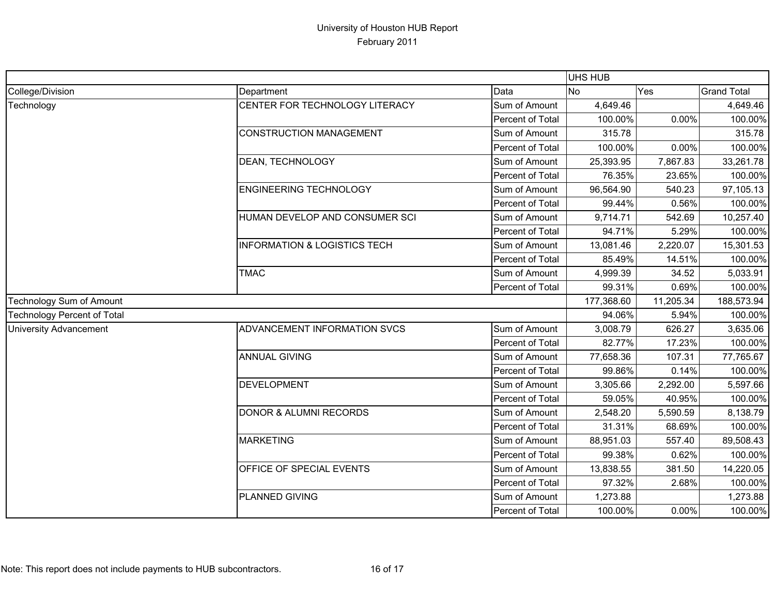|                                    |                                                        | <b>UHS HUB</b>   |           |            |                    |
|------------------------------------|--------------------------------------------------------|------------------|-----------|------------|--------------------|
| College/Division                   | Department                                             | Data             | <b>No</b> | Yes        | <b>Grand Total</b> |
| Technology                         | CENTER FOR TECHNOLOGY LITERACY                         | Sum of Amount    | 4,649.46  |            | 4,649.46           |
|                                    |                                                        | Percent of Total | 100.00%   | 0.00%      | 100.00%            |
|                                    | <b>CONSTRUCTION MANAGEMENT</b>                         | Sum of Amount    | 315.78    |            | 315.78             |
|                                    |                                                        | Percent of Total | 100.00%   | 0.00%      | 100.00%            |
|                                    | DEAN, TECHNOLOGY                                       | Sum of Amount    | 25,393.95 | 7,867.83   | 33,261.78          |
|                                    |                                                        | Percent of Total | 76.35%    | 23.65%     | 100.00%            |
|                                    | <b>ENGINEERING TECHNOLOGY</b>                          | Sum of Amount    | 96,564.90 | 540.23     | 97,105.13          |
|                                    |                                                        | Percent of Total | 99.44%    | 0.56%      | 100.00%            |
|                                    | HUMAN DEVELOP AND CONSUMER SCI                         | Sum of Amount    | 9,714.71  | 542.69     | 10,257.40          |
|                                    |                                                        | Percent of Total | 94.71%    | 5.29%      | 100.00%            |
|                                    | <b>INFORMATION &amp; LOGISTICS TECH</b><br><b>TMAC</b> | Sum of Amount    | 13,081.46 | 2,220.07   | 15,301.53          |
|                                    |                                                        | Percent of Total | 85.49%    | 14.51%     | 100.00%            |
|                                    |                                                        | Sum of Amount    | 4,999.39  | 34.52      | 5,033.91           |
|                                    |                                                        | Percent of Total | 99.31%    | 0.69%      | 100.00%            |
| Technology Sum of Amount           |                                                        | 177,368.60       | 11,205.34 | 188,573.94 |                    |
| <b>Technology Percent of Total</b> |                                                        |                  | 94.06%    | 5.94%      | 100.00%            |
| <b>University Advancement</b>      | ADVANCEMENT INFORMATION SVCS                           | Sum of Amount    | 3,008.79  | 626.27     | 3,635.06           |
|                                    |                                                        | Percent of Total | 82.77%    | 17.23%     | 100.00%            |
|                                    | <b>ANNUAL GIVING</b>                                   | Sum of Amount    | 77,658.36 | 107.31     | 77,765.67          |
|                                    |                                                        | Percent of Total | 99.86%    | 0.14%      | 100.00%            |
|                                    | <b>DEVELOPMENT</b>                                     | Sum of Amount    | 3,305.66  | 2,292.00   | 5,597.66           |
|                                    |                                                        | Percent of Total | 59.05%    | 40.95%     | 100.00%            |
|                                    | <b>DONOR &amp; ALUMNI RECORDS</b>                      | Sum of Amount    | 2,548.20  | 5,590.59   | 8,138.79           |
|                                    |                                                        | Percent of Total | 31.31%    | 68.69%     | 100.00%            |
|                                    | <b>MARKETING</b>                                       | Sum of Amount    | 88,951.03 | 557.40     | 89,508.43          |
|                                    |                                                        | Percent of Total | 99.38%    | 0.62%      | 100.00%            |
|                                    | OFFICE OF SPECIAL EVENTS                               | Sum of Amount    | 13,838.55 | 381.50     | 14,220.05          |
|                                    |                                                        | Percent of Total | 97.32%    | 2.68%      | 100.00%            |
|                                    | PLANNED GIVING                                         | Sum of Amount    | 1,273.88  |            | 1,273.88           |
|                                    |                                                        | Percent of Total | 100.00%   | 0.00%      | 100.00%            |